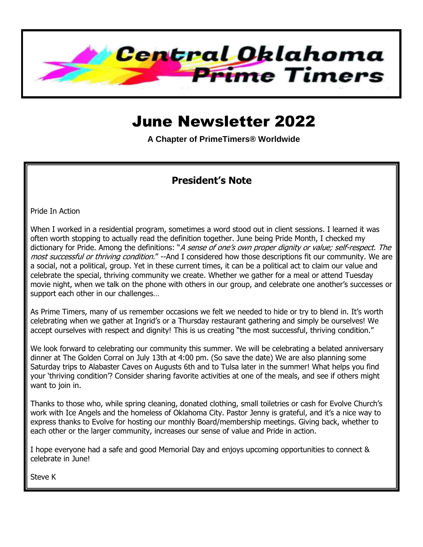

# June Newsletter 2022

**A Chapter of PrimeTimers® Worldwide**

#### **President's Note**

Pride In Action

When I worked in a residential program, sometimes a word stood out in client sessions. I learned it was often worth stopping to actually read the definition together. June being Pride Month, I checked my dictionary for Pride. Among the definitions: "A sense of one's own proper dignity or value; self-respect. The most successful or thriving condition." --And I considered how those descriptions fit our community. We are a social, not a political, group. Yet in these current times, it can be a political act to claim our value and celebrate the special, thriving community we create. Whether we gather for a meal or attend Tuesday movie night, when we talk on the phone with others in our group, and celebrate one another's successes or support each other in our challenges…

As Prime Timers, many of us remember occasions we felt we needed to hide or try to blend in. It's worth celebrating when we gather at Ingrid's or a Thursday restaurant gathering and simply be ourselves! We accept ourselves with respect and dignity! This is us creating "the most successful, thriving condition."

We look forward to celebrating our community this summer. We will be celebrating a belated anniversary dinner at The Golden Corral on July 13th at 4:00 pm. (So save the date) We are also planning some Saturday trips to Alabaster Caves on Augusts 6th and to Tulsa later in the summer! What helps you find your 'thriving condition'? Consider sharing favorite activities at one of the meals, and see if others might want to join in.

Thanks to those who, while spring cleaning, donated clothing, small toiletries or cash for Evolve Church's work with Ice Angels and the homeless of Oklahoma City. Pastor Jenny is grateful, and it's a nice way to express thanks to Evolve for hosting our monthly Board/membership meetings. Giving back, whether to each other or the larger community, increases our sense of value and Pride in action.

I hope everyone had a safe and good Memorial Day and enjoys upcoming opportunities to connect & celebrate in June!

Steve K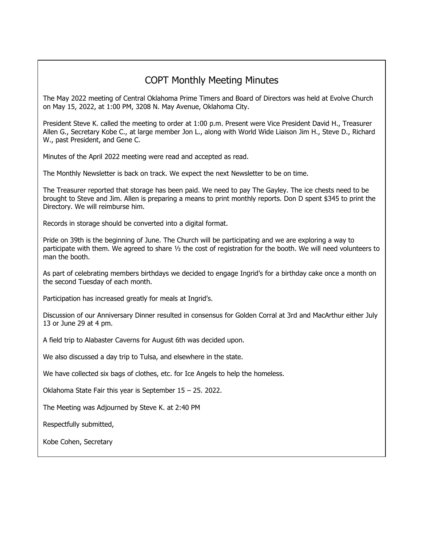#### COPT Monthly Meeting Minutes

The May 2022 meeting of Central Oklahoma Prime Timers and Board of Directors was held at Evolve Church on May 15, 2022, at 1:00 PM, 3208 N. May Avenue, Oklahoma City.

President Steve K. called the meeting to order at 1:00 p.m. Present were Vice President David H., Treasurer Allen G., Secretary Kobe C., at large member Jon L., along with World Wide Liaison Jim H., Steve D., Richard W., past President, and Gene C.

Minutes of the April 2022 meeting were read and accepted as read.

The Monthly Newsletter is back on track. We expect the next Newsletter to be on time.

The Treasurer reported that storage has been paid. We need to pay The Gayley. The ice chests need to be brought to Steve and Jim. Allen is preparing a means to print monthly reports. Don D spent \$345 to print the Directory. We will reimburse him.

Records in storage should be converted into a digital format.

Pride on 39th is the beginning of June. The Church will be participating and we are exploring a way to participate with them. We agreed to share ½ the cost of registration for the booth. We will need volunteers to man the booth.

As part of celebrating members birthdays we decided to engage Ingrid's for a birthday cake once a month on the second Tuesday of each month.

Participation has increased greatly for meals at Ingrid's.

Discussion of our Anniversary Dinner resulted in consensus for Golden Corral at 3rd and MacArthur either July 13 or June 29 at 4 pm.

A field trip to Alabaster Caverns for August 6th was decided upon.

We also discussed a day trip to Tulsa, and elsewhere in the state.

We have collected six bags of clothes, etc. for Ice Angels to help the homeless.

Oklahoma State Fair this year is September 15 – 25. 2022.

The Meeting was Adjourned by Steve K. at 2:40 PM

Respectfully submitted,

Kobe Cohen, Secretary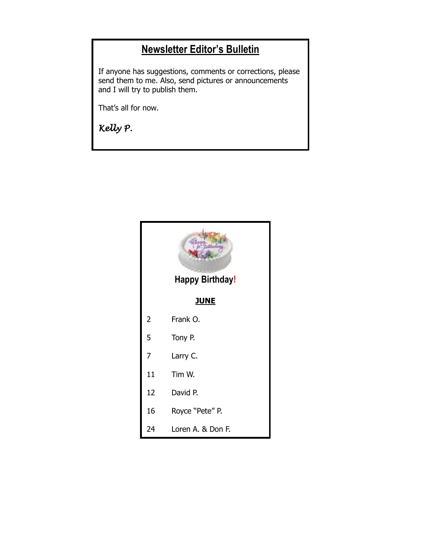### **Newsletter Editor's Bulletin**

If anyone has suggestions, comments or corrections, please send them to me. Also, send pictures or announcements and I will try to publish them.

That's all for now.

*Kelly P.* 

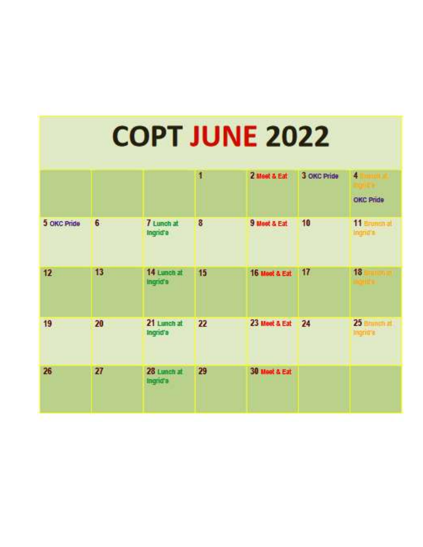|             |    |                         | 1  | 2 Meet & Eat  | 3 OKC Pride | 4                           |
|-------------|----|-------------------------|----|---------------|-------------|-----------------------------|
|             |    |                         |    |               |             | OKC Pride                   |
| 5 OKC Pride | 6  | 7 Lunch at<br>Ingrid's  | 8  | 9 Meet & Eat  | 10          | 11 Brunsnat<br>Indrin's     |
| 12          | 13 | 14 Lunch at<br>Ingrid's | 15 | 16 Meet & Eat | 17          | 18                          |
| 19          | 20 | 21 Lunch at<br>Ingrid's | 22 | 23 Meet & Eat | 24          | $25$ Brunch at<br>Ingritt's |
| 26          | 27 | 28 Lunch at<br>Ingrid's | 29 | 30 Meet & Eat |             |                             |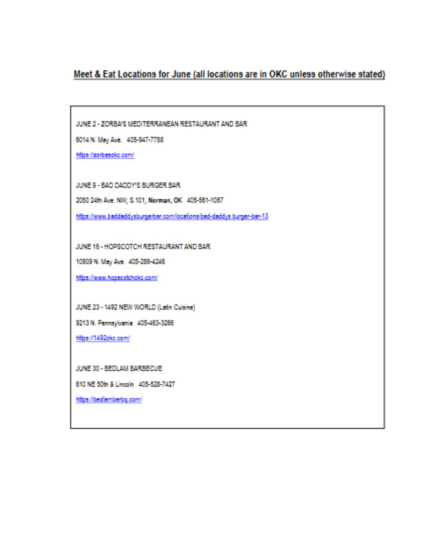Meet & Eat Locations for June (all locations are in OKC unless otherwise stated)

JUNE 2 - ZORBA'S MEDITERRANEAN RESTAURANT AND BAR

6014 N. May Ave. 405-947-7788

https://zorbasokc.com/

JUNE 9 - BAD DADDY'S BURGER BAR

2050 24th Ave. NW; S.101, Norman, OK 405-561-1067

https://www.baddaddysburgerbar.com/locations/bad-daddys-burger-bar-13

JUNE 16 - HOPSCOTCH RESTAURANT AND BAR

10909 N. May Ave. 405-286-4246

https://www.hopscotchokc.com/

JUNE 23 - 1492 NEW WORLD (Latin Cuisine)

9213 N. Pennsylvania 405-463-3266

https://1492okc.com/

JUNE 30 - BEDLAM BARBECUE

610 NE 50th & Lincoln 405-528-7427

https://bedlambarbg.com/